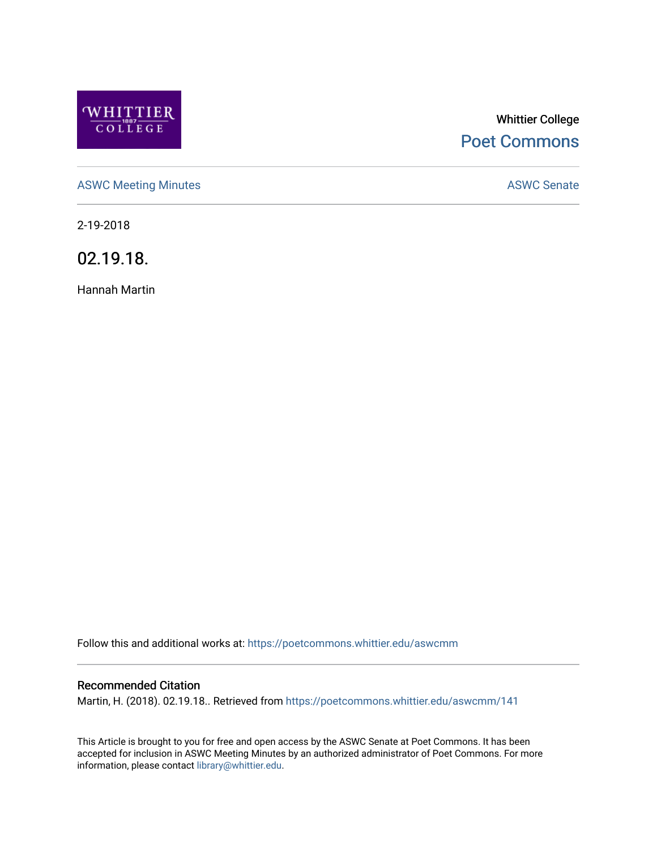

# Whittier College [Poet Commons](https://poetcommons.whittier.edu/)

[ASWC Meeting Minutes](https://poetcommons.whittier.edu/aswcmm) **ASWC Senate** 

2-19-2018

02.19.18.

Hannah Martin

Follow this and additional works at: [https://poetcommons.whittier.edu/aswcmm](https://poetcommons.whittier.edu/aswcmm?utm_source=poetcommons.whittier.edu%2Faswcmm%2F141&utm_medium=PDF&utm_campaign=PDFCoverPages)

#### Recommended Citation

Martin, H. (2018). 02.19.18.. Retrieved from [https://poetcommons.whittier.edu/aswcmm/141](https://poetcommons.whittier.edu/aswcmm/141?utm_source=poetcommons.whittier.edu%2Faswcmm%2F141&utm_medium=PDF&utm_campaign=PDFCoverPages) 

This Article is brought to you for free and open access by the ASWC Senate at Poet Commons. It has been accepted for inclusion in ASWC Meeting Minutes by an authorized administrator of Poet Commons. For more information, please contact [library@whittier.edu.](mailto:library@whittier.edu)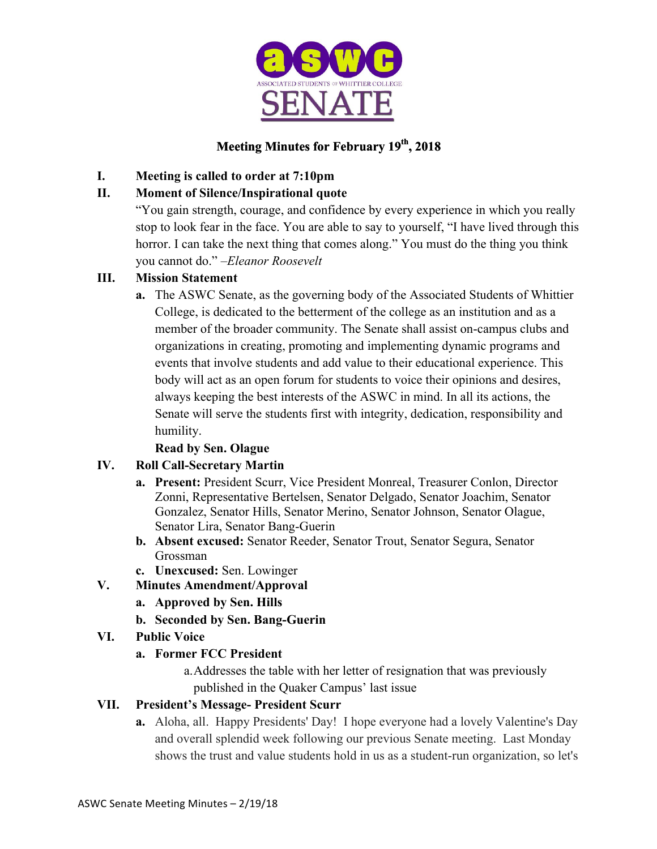

# **Meeting Minutes for February 19th, 2018**

### **I. Meeting is called to order at 7:10pm**

### **II. Moment of Silence/Inspirational quote**

"You gain strength, courage, and confidence by every experience in which you really stop to look fear in the face. You are able to say to yourself, "I have lived through this horror. I can take the next thing that comes along." You must do the thing you think you cannot do." *–Eleanor Roosevelt*

### **III. Mission Statement**

**a.** The ASWC Senate, as the governing body of the Associated Students of Whittier College, is dedicated to the betterment of the college as an institution and as a member of the broader community. The Senate shall assist on-campus clubs and organizations in creating, promoting and implementing dynamic programs and events that involve students and add value to their educational experience. This body will act as an open forum for students to voice their opinions and desires, always keeping the best interests of the ASWC in mind. In all its actions, the Senate will serve the students first with integrity, dedication, responsibility and humility.

### **Read by Sen. Olague**

### **IV. Roll Call-Secretary Martin**

- **a. Present:** President Scurr, Vice President Monreal, Treasurer Conlon, Director Zonni, Representative Bertelsen, Senator Delgado, Senator Joachim, Senator Gonzalez, Senator Hills, Senator Merino, Senator Johnson, Senator Olague, Senator Lira, Senator Bang-Guerin
- **b. Absent excused:** Senator Reeder, Senator Trout, Senator Segura, Senator Grossman
- **c. Unexcused:** Sen. Lowinger

### **V. Minutes Amendment/Approval**

- **a. Approved by Sen. Hills**
- **b. Seconded by Sen. Bang-Guerin**
- **VI. Public Voice**

#### **a. Former FCC President**

a.Addresses the table with her letter of resignation that was previously published in the Quaker Campus' last issue

### **VII. President's Message- President Scurr**

**a.** Aloha, all. Happy Presidents' Day! I hope everyone had a lovely Valentine's Day and overall splendid week following our previous Senate meeting. Last Monday shows the trust and value students hold in us as a student-run organization, so let's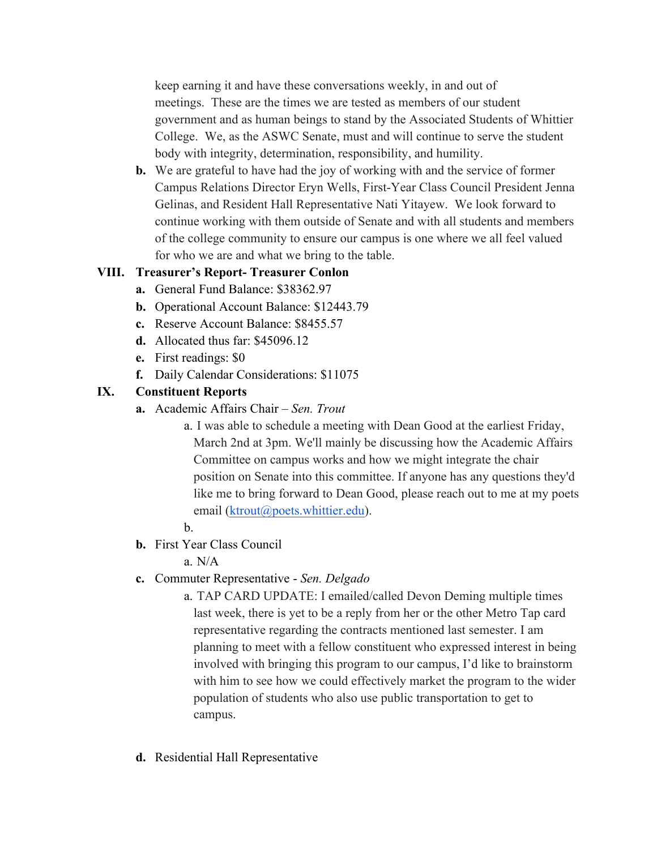keep earning it and have these conversations weekly, in and out of meetings. These are the times we are tested as members of our student government and as human beings to stand by the Associated Students of Whittier College. We, as the ASWC Senate, must and will continue to serve the student body with integrity, determination, responsibility, and humility.

**b.** We are grateful to have had the joy of working with and the service of former Campus Relations Director Eryn Wells, First-Year Class Council President Jenna Gelinas, and Resident Hall Representative Nati Yitayew. We look forward to continue working with them outside of Senate and with all students and members of the college community to ensure our campus is one where we all feel valued for who we are and what we bring to the table.

#### **VIII. Treasurer's Report- Treasurer Conlon**

- **a.** General Fund Balance: \$38362.97
- **b.** Operational Account Balance: \$12443.79
- **c.** Reserve Account Balance: \$8455.57
- **d.** Allocated thus far: \$45096.12
- **e.** First readings: \$0
- **f.** Daily Calendar Considerations: \$11075

### **IX. Constituent Reports**

- **a.** Academic Affairs Chair *Sen. Trout*
	- a. I was able to schedule a meeting with Dean Good at the earliest Friday, March 2nd at 3pm. We'll mainly be discussing how the Academic Affairs Committee on campus works and how we might integrate the chair position on Senate into this committee. If anyone has any questions they'd like me to bring forward to Dean Good, please reach out to me at my poets email (ktrout@poets.whittier.edu).

#### b.

**b.** First Year Class Council

a. N/A

- **c.** Commuter Representative *Sen. Delgado*
	- a. TAP CARD UPDATE: I emailed/called Devon Deming multiple times last week, there is yet to be a reply from her or the other Metro Tap card representative regarding the contracts mentioned last semester. I am planning to meet with a fellow constituent who expressed interest in being involved with bringing this program to our campus, I'd like to brainstorm with him to see how we could effectively market the program to the wider population of students who also use public transportation to get to campus.
- **d.** Residential Hall Representative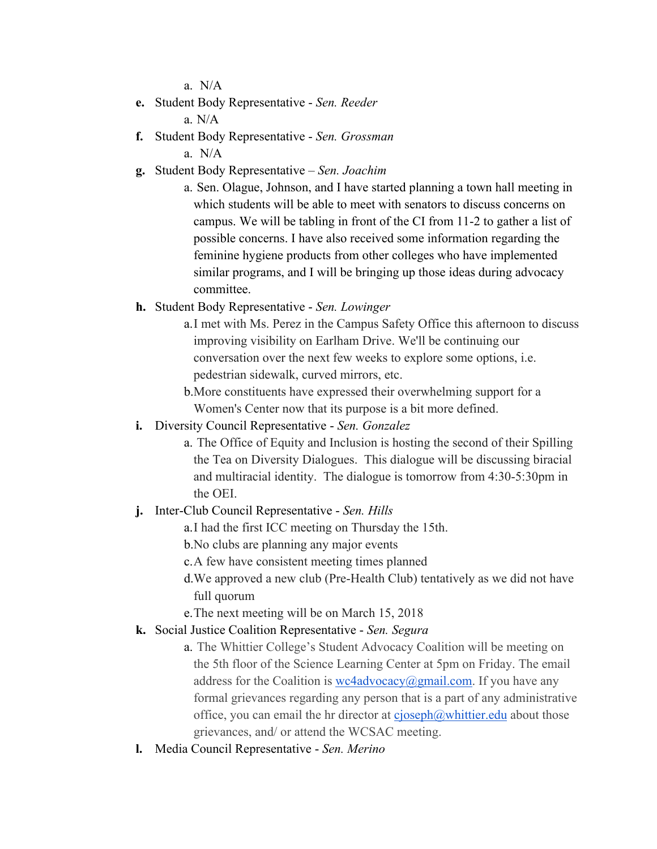a.N/A

**e.** Student Body Representative - *Sen. Reeder*

**f.** Student Body Representative - *Sen. Grossman*

a. N/A

- **g.** Student Body Representative *Sen. Joachim*
	- a. Sen. Olague, Johnson, and I have started planning a town hall meeting in which students will be able to meet with senators to discuss concerns on campus. We will be tabling in front of the CI from 11-2 to gather a list of possible concerns. I have also received some information regarding the feminine hygiene products from other colleges who have implemented similar programs, and I will be bringing up those ideas during advocacy committee.
- **h.** Student Body Representative *Sen. Lowinger*
	- a.I met with Ms. Perez in the Campus Safety Office this afternoon to discuss improving visibility on Earlham Drive. We'll be continuing our conversation over the next few weeks to explore some options, i.e. pedestrian sidewalk, curved mirrors, etc.
	- b.More constituents have expressed their overwhelming support for a Women's Center now that its purpose is a bit more defined.
- **i.** Diversity Council Representative *Sen. Gonzalez*
	- a. The Office of Equity and Inclusion is hosting the second of their Spilling the Tea on Diversity Dialogues. This dialogue will be discussing biracial and multiracial identity. The dialogue is tomorrow from 4:30-5:30pm in the OEI.
- **j.** Inter-Club Council Representative *Sen. Hills*
	- a.I had the first ICC meeting on Thursday the 15th.
	- b.No clubs are planning any major events
	- c.A few have consistent meeting times planned
	- d.We approved a new club (Pre-Health Club) tentatively as we did not have full quorum
	- e.The next meeting will be on March 15, 2018
- **k.** Social Justice Coalition Representative *Sen. Segura*
	- a. The Whittier College's Student Advocacy Coalition will be meeting on the 5th floor of the Science Learning Center at 5pm on Friday. The email address for the Coalition is  $wc4advocacy@gmail.com$ . If you have any formal grievances regarding any person that is a part of any administrative office, you can email the hr director at  $c_j \searrow 0$  (*oseph* $@$ *whittier.edu about those* grievances, and/ or attend the WCSAC meeting.
- **l.** Media Council Representative *Sen. Merino*

a. N/A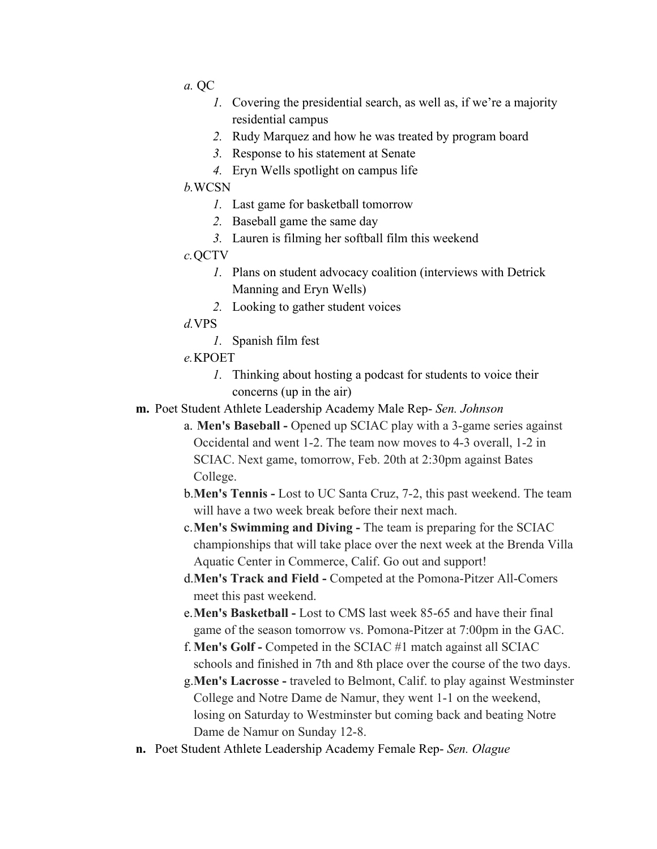- *a.* QC
	- *1.* Covering the presidential search, as well as, if we're a majority residential campus
	- *2.* Rudy Marquez and how he was treated by program board
	- *3.* Response to his statement at Senate
	- *4.* Eryn Wells spotlight on campus life

#### *b.*WCSN

- *1.* Last game for basketball tomorrow
- *2.* Baseball game the same day
- *3.* Lauren is filming her softball film this weekend

#### *c.*QCTV

- *1.* Plans on student advocacy coalition (interviews with Detrick Manning and Eryn Wells)
- *2.* Looking to gather student voices

#### *d.*VPS

- *1.* Spanish film fest
- *e.*KPOET
	- *1.* Thinking about hosting a podcast for students to voice their concerns (up in the air)
- **m.** Poet Student Athlete Leadership Academy Male Rep- *Sen. Johnson*
	- a. **Men's Baseball -** Opened up SCIAC play with a 3-game series against Occidental and went 1-2. The team now moves to 4-3 overall, 1-2 in SCIAC. Next game, tomorrow, Feb. 20th at 2:30pm against Bates College.
	- b.**Men's Tennis -** Lost to UC Santa Cruz, 7-2, this past weekend. The team will have a two week break before their next mach.
	- c.**Men's Swimming and Diving -** The team is preparing for the SCIAC championships that will take place over the next week at the Brenda Villa Aquatic Center in Commerce, Calif. Go out and support!
	- d.**Men's Track and Field -** Competed at the Pomona-Pitzer All-Comers meet this past weekend.
	- e.**Men's Basketball -** Lost to CMS last week 85-65 and have their final game of the season tomorrow vs. Pomona-Pitzer at 7:00pm in the GAC.
	- f. **Men's Golf -** Competed in the SCIAC #1 match against all SCIAC schools and finished in 7th and 8th place over the course of the two days.
	- g.**Men's Lacrosse -** traveled to Belmont, Calif. to play against Westminster College and Notre Dame de Namur, they went 1-1 on the weekend, losing on Saturday to Westminster but coming back and beating Notre Dame de Namur on Sunday 12-8.
- **n.** Poet Student Athlete Leadership Academy Female Rep- *Sen. Olague*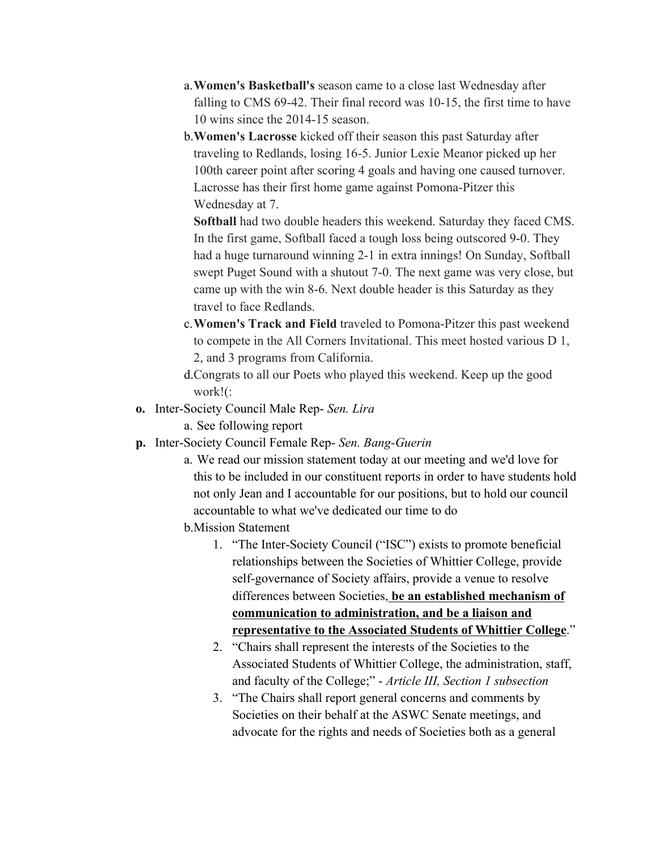- a.**Women's Basketball's** season came to a close last Wednesday after falling to CMS 69-42. Their final record was 10-15, the first time to have 10 wins since the 2014-15 season.
- b.**Women's Lacrosse** kicked off their season this past Saturday after traveling to Redlands, losing 16-5. Junior Lexie Meanor picked up her 100th career point after scoring 4 goals and having one caused turnover. Lacrosse has their first home game against Pomona-Pitzer this Wednesday at 7.

**Softball** had two double headers this weekend. Saturday they faced CMS. In the first game, Softball faced a tough loss being outscored 9-0. They had a huge turnaround winning 2-1 in extra innings! On Sunday, Softball swept Puget Sound with a shutout 7-0. The next game was very close, but came up with the win 8-6. Next double header is this Saturday as they travel to face Redlands.

- c.**Women's Track and Field** traveled to Pomona-Pitzer this past weekend to compete in the All Corners Invitational. This meet hosted various D 1, 2, and 3 programs from California.
- d.Congrats to all our Poets who played this weekend. Keep up the good work!(:
- **o.** Inter-Society Council Male Rep- *Sen. Lira*
	- a. See following report
- **p.** Inter-Society Council Female Rep- *Sen. Bang-Guerin*
	- a. We read our mission statement today at our meeting and we'd love for this to be included in our constituent reports in order to have students hold not only Jean and I accountable for our positions, but to hold our council accountable to what we've dedicated our time to do
	- b.Mission Statement
		- 1. "The Inter-Society Council ("ISC") exists to promote beneficial relationships between the Societies of Whittier College, provide self-governance of Society affairs, provide a venue to resolve differences between Societies, **be an established mechanism of communication to administration, and be a liaison and representative to the Associated Students of Whittier College**."
		- 2. "Chairs shall represent the interests of the Societies to the Associated Students of Whittier College, the administration, staff, and faculty of the College;" - *Article III, Section 1 subsection*
		- 3. "The Chairs shall report general concerns and comments by Societies on their behalf at the ASWC Senate meetings, and advocate for the rights and needs of Societies both as a general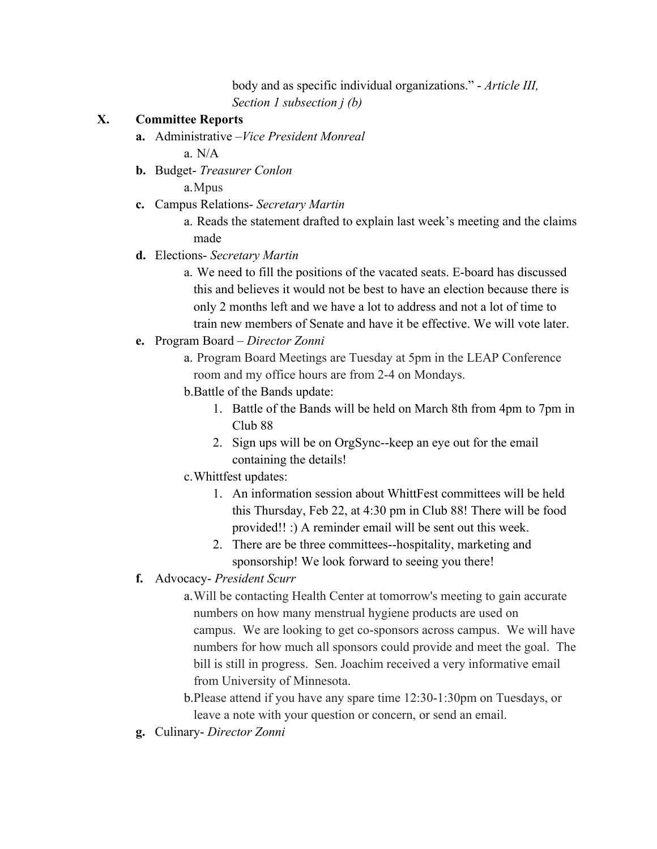body and as specific individual organizations." - *Article III, Section 1 subsection j (b)*

#### **X. Committee Reports**

- **a.** Administrative –*Vice President Monreal* a. N/A
- **b.** Budget- *Treasurer Conlon*

a.Mpus

**c.** Campus Relations- *Secretary Martin*

a. Reads the statement drafted to explain last week's meeting and the claims made

### **d.** Elections- *Secretary Martin*

a. We need to fill the positions of the vacated seats. E-board has discussed this and believes it would not be best to have an election because there is only 2 months left and we have a lot to address and not a lot of time to train new members of Senate and have it be effective. We will vote later.

### **e.** Program Board – *Director Zonni*

a. Program Board Meetings are Tuesday at 5pm in the LEAP Conference room and my office hours are from 2-4 on Mondays.

- b.Battle of the Bands update:
	- 1. Battle of the Bands will be held on March 8th from 4pm to 7pm in Club 88
	- 2. Sign ups will be on OrgSync--keep an eye out for the email containing the details!
- c.Whittfest updates:
	- 1. An information session about WhittFest committees will be held this Thursday, Feb 22, at 4:30 pm in Club 88! There will be food provided!! :) A reminder email will be sent out this week.
	- 2. There are be three committees--hospitality, marketing and sponsorship! We look forward to seeing you there!
- **f.** Advocacy- *President Scurr*

a.Will be contacting Health Center at tomorrow's meeting to gain accurate numbers on how many menstrual hygiene products are used on campus. We are looking to get co-sponsors across campus. We will have numbers for how much all sponsors could provide and meet the goal. The bill is still in progress. Sen. Joachim received a very informative email from University of Minnesota.

b.Please attend if you have any spare time 12:30-1:30pm on Tuesdays, or leave a note with your question or concern, or send an email.

**g.** Culinary- *Director Zonni*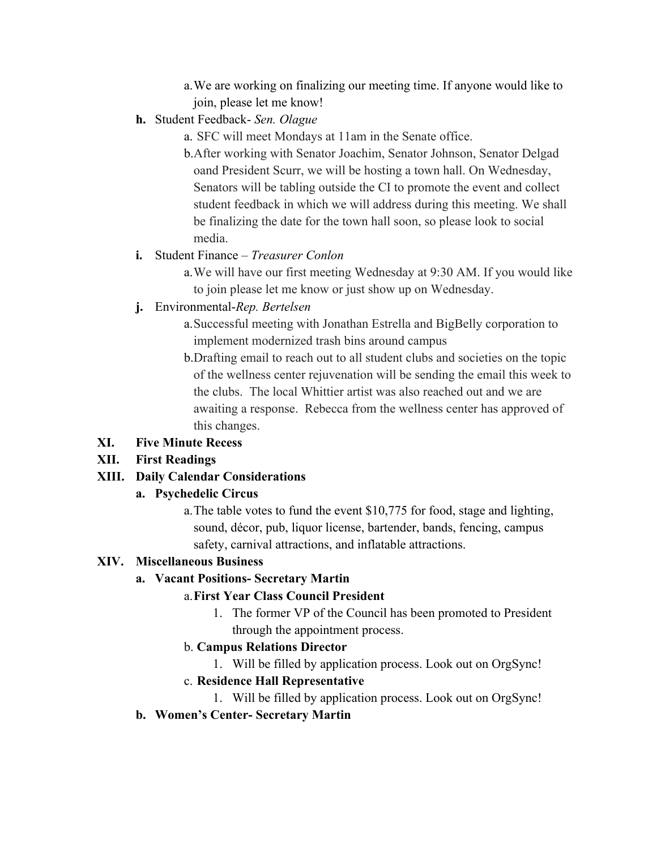- a.We are working on finalizing our meeting time. If anyone would like to join, please let me know!
- **h.** Student Feedback- *Sen. Olague* 
	- a. SFC will meet Mondays at 11am in the Senate office.

b.After working with Senator Joachim, Senator Johnson, Senator Delgad oand President Scurr, we will be hosting a town hall. On Wednesday, Senators will be tabling outside the CI to promote the event and collect student feedback in which we will address during this meeting. We shall be finalizing the date for the town hall soon, so please look to social media.

### **i.** Student Finance – *Treasurer Conlon*

- a.We will have our first meeting Wednesday at 9:30 AM. If you would like to join please let me know or just show up on Wednesday.
- **j.** Environmental-*Rep. Bertelsen*
	- a.Successful meeting with Jonathan Estrella and BigBelly corporation to implement modernized trash bins around campus
	- b.Drafting email to reach out to all student clubs and societies on the topic of the wellness center rejuvenation will be sending the email this week to the clubs. The local Whittier artist was also reached out and we are awaiting a response. Rebecca from the wellness center has approved of this changes.

# **XI. Five Minute Recess**

# **XII. First Readings**

# **XIII. Daily Calendar Considerations**

### **a. Psychedelic Circus**

a.The table votes to fund the event \$10,775 for food, stage and lighting, sound, décor, pub, liquor license, bartender, bands, fencing, campus safety, carnival attractions, and inflatable attractions.

### **XIV. Miscellaneous Business**

# **a. Vacant Positions- Secretary Martin**

# a.**First Year Class Council President**

1. The former VP of the Council has been promoted to President through the appointment process.

# b. **Campus Relations Director**

1. Will be filled by application process. Look out on OrgSync!

# c. **Residence Hall Representative**

1. Will be filled by application process. Look out on OrgSync!

# **b. Women's Center- Secretary Martin**